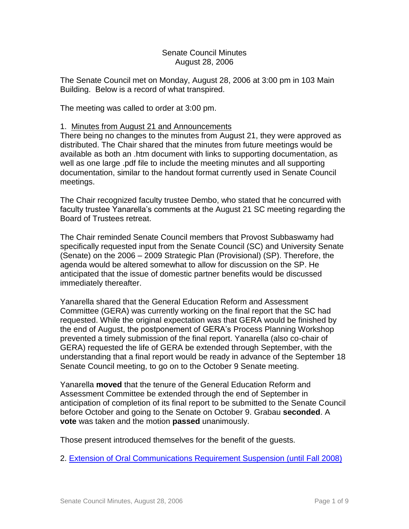## Senate Council Minutes August 28, 2006

The Senate Council met on Monday, August 28, 2006 at 3:00 pm in 103 Main Building. Below is a record of what transpired.

The meeting was called to order at 3:00 pm.

## 1. Minutes from August 21 and Announcements

There being no changes to the minutes from August 21, they were approved as distributed. The Chair shared that the minutes from future meetings would be available as both an .htm document with links to supporting documentation, as well as one large .pdf file to include the meeting minutes and all supporting documentation, similar to the handout format currently used in Senate Council meetings.

The Chair recognized faculty trustee Dembo, who stated that he concurred with faculty trustee Yanarella's comments at the August 21 SC meeting regarding the Board of Trustees retreat.

The Chair reminded Senate Council members that Provost Subbaswamy had specifically requested input from the Senate Council (SC) and University Senate (Senate) on the 2006 – 2009 Strategic Plan (Provisional) (SP). Therefore, the agenda would be altered somewhat to allow for discussion on the SP. He anticipated that the issue of domestic partner benefits would be discussed immediately thereafter.

Yanarella shared that the General Education Reform and Assessment Committee (GERA) was currently working on the final report that the SC had requested. While the original expectation was that GERA would be finished by the end of August, the postponement of GERA's Process Planning Workshop prevented a timely submission of the final report. Yanarella (also co-chair of GERA) requested the life of GERA be extended through September, with the understanding that a final report would be ready in advance of the September 18 Senate Council meeting, to go on to the October 9 Senate meeting.

Yanarella **moved** that the tenure of the General Education Reform and Assessment Committee be extended through the end of September in anticipation of completion of its final report to be submitted to the Senate Council before October and going to the Senate on October 9. Grabau **seconded**. A **vote** was taken and the motion **passed** unanimously.

Those present introduced themselves for the benefit of the guests.

2. [Extension of Oral Communications Requirement Suspension \(until](http://www.uky.edu/USC/New/files/20060828/Oral%20Comm%20Req%20Susp.pdf) Fall 2008)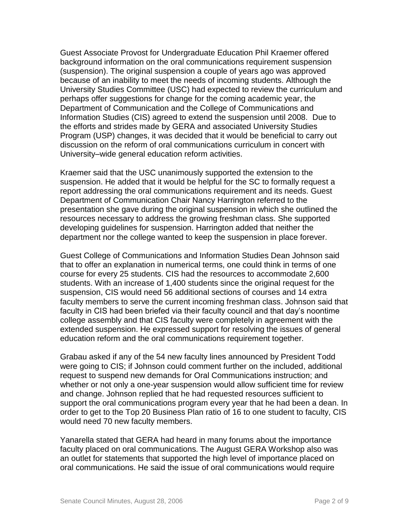Guest Associate Provost for Undergraduate Education Phil Kraemer offered background information on the oral communications requirement suspension (suspension). The original suspension a couple of years ago was approved because of an inability to meet the needs of incoming students. Although the University Studies Committee (USC) had expected to review the curriculum and perhaps offer suggestions for change for the coming academic year, the Department of Communication and the College of Communications and Information Studies (CIS) agreed to extend the suspension until 2008. Due to the efforts and strides made by GERA and associated University Studies Program (USP) changes, it was decided that it would be beneficial to carry out discussion on the reform of oral communications curriculum in concert with University–wide general education reform activities.

Kraemer said that the USC unanimously supported the extension to the suspension. He added that it would be helpful for the SC to formally request a report addressing the oral communications requirement and its needs. Guest Department of Communication Chair Nancy Harrington referred to the presentation she gave during the original suspension in which she outlined the resources necessary to address the growing freshman class. She supported developing guidelines for suspension. Harrington added that neither the department nor the college wanted to keep the suspension in place forever.

Guest College of Communications and Information Studies Dean Johnson said that to offer an explanation in numerical terms, one could think in terms of one course for every 25 students. CIS had the resources to accommodate 2,600 students. With an increase of 1,400 students since the original request for the suspension, CIS would need 56 additional sections of courses and 14 extra faculty members to serve the current incoming freshman class. Johnson said that faculty in CIS had been briefed via their faculty council and that day's noontime college assembly and that CIS faculty were completely in agreement with the extended suspension. He expressed support for resolving the issues of general education reform and the oral communications requirement together.

Grabau asked if any of the 54 new faculty lines announced by President Todd were going to CIS; if Johnson could comment further on the included, additional request to suspend new demands for Oral Communications instruction; and whether or not only a one-year suspension would allow sufficient time for review and change. Johnson replied that he had requested resources sufficient to support the oral communications program every year that he had been a dean. In order to get to the Top 20 Business Plan ratio of 16 to one student to faculty, CIS would need 70 new faculty members.

Yanarella stated that GERA had heard in many forums about the importance faculty placed on oral communications. The August GERA Workshop also was an outlet for statements that supported the high level of importance placed on oral communications. He said the issue of oral communications would require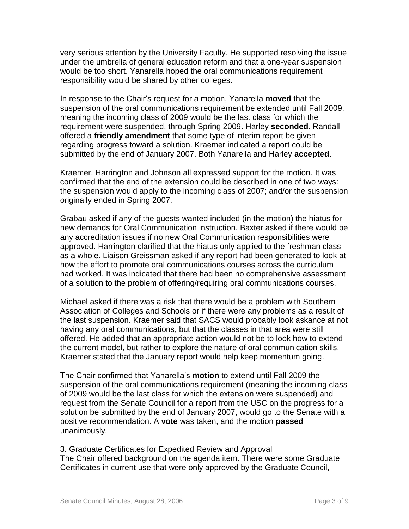very serious attention by the University Faculty. He supported resolving the issue under the umbrella of general education reform and that a one-year suspension would be too short. Yanarella hoped the oral communications requirement responsibility would be shared by other colleges.

In response to the Chair's request for a motion, Yanarella **moved** that the suspension of the oral communications requirement be extended until Fall 2009, meaning the incoming class of 2009 would be the last class for which the requirement were suspended, through Spring 2009. Harley **seconded**. Randall offered a **friendly amendment** that some type of interim report be given regarding progress toward a solution. Kraemer indicated a report could be submitted by the end of January 2007. Both Yanarella and Harley **accepted**.

Kraemer, Harrington and Johnson all expressed support for the motion. It was confirmed that the end of the extension could be described in one of two ways: the suspension would apply to the incoming class of 2007; and/or the suspension originally ended in Spring 2007.

Grabau asked if any of the guests wanted included (in the motion) the hiatus for new demands for Oral Communication instruction. Baxter asked if there would be any accreditation issues if no new Oral Communication responsibilities were approved. Harrington clarified that the hiatus only applied to the freshman class as a whole. Liaison Greissman asked if any report had been generated to look at how the effort to promote oral communications courses across the curriculum had worked. It was indicated that there had been no comprehensive assessment of a solution to the problem of offering/requiring oral communications courses.

Michael asked if there was a risk that there would be a problem with Southern Association of Colleges and Schools or if there were any problems as a result of the last suspension. Kraemer said that SACS would probably look askance at not having any oral communications, but that the classes in that area were still offered. He added that an appropriate action would not be to look how to extend the current model, but rather to explore the nature of oral communication skills. Kraemer stated that the January report would help keep momentum going.

The Chair confirmed that Yanarella's **motion** to extend until Fall 2009 the suspension of the oral communications requirement (meaning the incoming class of 2009 would be the last class for which the extension were suspended) and request from the Senate Council for a report from the USC on the progress for a solution be submitted by the end of January 2007, would go to the Senate with a positive recommendation. A **vote** was taken, and the motion **passed** unanimously.

3. Graduate Certificates for Expedited Review and Approval The Chair offered background on the agenda item. There were some Graduate Certificates in current use that were only approved by the Graduate Council,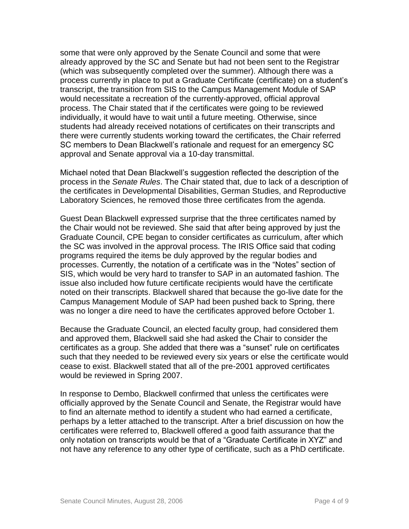some that were only approved by the Senate Council and some that were already approved by the SC and Senate but had not been sent to the Registrar (which was subsequently completed over the summer). Although there was a process currently in place to put a Graduate Certificate (certificate) on a student's transcript, the transition from SIS to the Campus Management Module of SAP would necessitate a recreation of the currently-approved, official approval process. The Chair stated that if the certificates were going to be reviewed individually, it would have to wait until a future meeting. Otherwise, since students had already received notations of certificates on their transcripts and there were currently students working toward the certificates, the Chair referred SC members to Dean Blackwell's rationale and request for an emergency SC approval and Senate approval via a 10-day transmittal.

Michael noted that Dean Blackwell's suggestion reflected the description of the process in the *Senate Rules*. The Chair stated that, due to lack of a description of the certificates in Developmental Disabilities, German Studies, and Reproductive Laboratory Sciences, he removed those three certificates from the agenda.

Guest Dean Blackwell expressed surprise that the three certificates named by the Chair would not be reviewed. She said that after being approved by just the Graduate Council, CPE began to consider certificates as curriculum, after which the SC was involved in the approval process. The IRIS Office said that coding programs required the items be duly approved by the regular bodies and processes. Currently, the notation of a certificate was in the "Notes" section of SIS, which would be very hard to transfer to SAP in an automated fashion. The issue also included how future certificate recipients would have the certificate noted on their transcripts. Blackwell shared that because the go-live date for the Campus Management Module of SAP had been pushed back to Spring, there was no longer a dire need to have the certificates approved before October 1.

Because the Graduate Council, an elected faculty group, had considered them and approved them, Blackwell said she had asked the Chair to consider the certificates as a group. She added that there was a "sunset" rule on certificates such that they needed to be reviewed every six years or else the certificate would cease to exist. Blackwell stated that all of the pre-2001 approved certificates would be reviewed in Spring 2007.

In response to Dembo, Blackwell confirmed that unless the certificates were officially approved by the Senate Council and Senate, the Registrar would have to find an alternate method to identify a student who had earned a certificate, perhaps by a letter attached to the transcript. After a brief discussion on how the certificates were referred to, Blackwell offered a good faith assurance that the only notation on transcripts would be that of a "Graduate Certificate in XYZ" and not have any reference to any other type of certificate, such as a PhD certificate.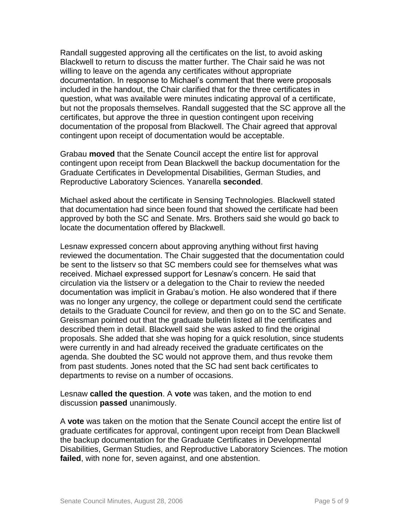Randall suggested approving all the certificates on the list, to avoid asking Blackwell to return to discuss the matter further. The Chair said he was not willing to leave on the agenda any certificates without appropriate documentation. In response to Michael's comment that there were proposals included in the handout, the Chair clarified that for the three certificates in question, what was available were minutes indicating approval of a certificate, but not the proposals themselves. Randall suggested that the SC approve all the certificates, but approve the three in question contingent upon receiving documentation of the proposal from Blackwell. The Chair agreed that approval contingent upon receipt of documentation would be acceptable.

Grabau **moved** that the Senate Council accept the entire list for approval contingent upon receipt from Dean Blackwell the backup documentation for the Graduate Certificates in Developmental Disabilities, German Studies, and Reproductive Laboratory Sciences. Yanarella **seconded**.

Michael asked about the certificate in Sensing Technologies. Blackwell stated that documentation had since been found that showed the certificate had been approved by both the SC and Senate. Mrs. Brothers said she would go back to locate the documentation offered by Blackwell.

Lesnaw expressed concern about approving anything without first having reviewed the documentation. The Chair suggested that the documentation could be sent to the listserv so that SC members could see for themselves what was received. Michael expressed support for Lesnaw's concern. He said that circulation via the listserv or a delegation to the Chair to review the needed documentation was implicit in Grabau's motion. He also wondered that if there was no longer any urgency, the college or department could send the certificate details to the Graduate Council for review, and then go on to the SC and Senate. Greissman pointed out that the graduate bulletin listed all the certificates and described them in detail. Blackwell said she was asked to find the original proposals. She added that she was hoping for a quick resolution, since students were currently in and had already received the graduate certificates on the agenda. She doubted the SC would not approve them, and thus revoke them from past students. Jones noted that the SC had sent back certificates to departments to revise on a number of occasions.

Lesnaw **called the question**. A **vote** was taken, and the motion to end discussion **passed** unanimously.

A **vote** was taken on the motion that the Senate Council accept the entire list of graduate certificates for approval, contingent upon receipt from Dean Blackwell the backup documentation for the Graduate Certificates in Developmental Disabilities, German Studies, and Reproductive Laboratory Sciences. The motion **failed**, with none for, seven against, and one abstention.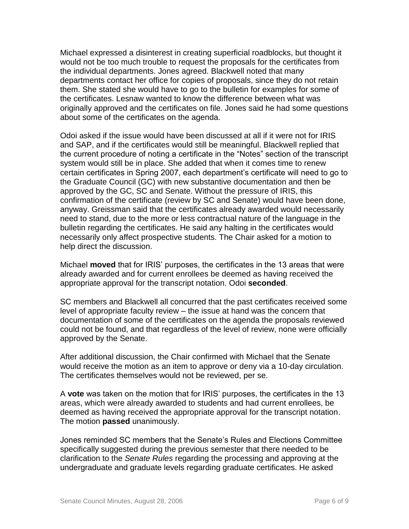Michael expressed a disinterest in creating superficial roadblocks, but thought it would not be too much trouble to request the proposals for the certificates from the individual departments. Jones agreed. Blackwell noted that many departments contact her office for copies of proposals, since they do not retain them. She stated she would have to go to the bulletin for examples for some of the certificates. Lesnaw wanted to know the difference between what was originally approved and the certificates on file. Jones said he had some questions about some of the certificates on the agenda.

Odoi asked if the issue would have been discussed at all if it were not for IRIS and SAP, and if the certificates would still be meaningful. Blackwell replied that the current procedure of noting a certificate in the "Notes" section of the transcript system would still be in place. She added that when it comes time to renew certain certificates in Spring 2007, each department's certificate will need to go to the Graduate Council (GC) with new substantive documentation and then be approved by the GC, SC and Senate. Without the pressure of IRIS, this confirmation of the certificate (review by SC and Senate) would have been done, anyway. Greissman said that the certificates already awarded would necessarily need to stand, due to the more or less contractual nature of the language in the bulletin regarding the certificates. He said any halting in the certificates would necessarily only affect prospective students. The Chair asked for a motion to help direct the discussion.

Michael **moved** that for IRIS' purposes, the certificates in the 13 areas that were already awarded and for current enrollees be deemed as having received the appropriate approval for the transcript notation. Odoi **seconded**.

SC members and Blackwell all concurred that the past certificates received some level of appropriate faculty review – the issue at hand was the concern that documentation of some of the certificates on the agenda the proposals reviewed could not be found, and that regardless of the level of review, none were officially approved by the Senate.

After additional discussion, the Chair confirmed with Michael that the Senate would receive the motion as an item to approve or deny via a 10-day circulation. The certificates themselves would not be reviewed, per se.

A **vote** was taken on the motion that for IRIS' purposes, the certificates in the 13 areas, which were already awarded to students and had current enrollees, be deemed as having received the appropriate approval for the transcript notation. The motion **passed** unanimously.

Jones reminded SC members that the Senate's Rules and Elections Committee specifically suggested during the previous semester that there needed to be clarification to the *Senate Rules* regarding the processing and approving at the undergraduate and graduate levels regarding graduate certificates. He asked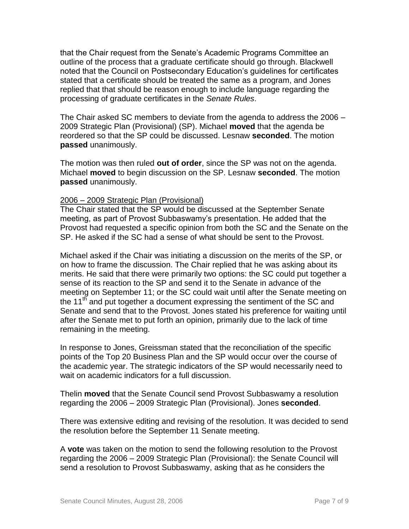that the Chair request from the Senate's Academic Programs Committee an outline of the process that a graduate certificate should go through. Blackwell noted that the Council on Postsecondary Education's guidelines for certificates stated that a certificate should be treated the same as a program, and Jones replied that that should be reason enough to include language regarding the processing of graduate certificates in the *Senate Rules*.

The Chair asked SC members to deviate from the agenda to address the 2006 – 2009 Strategic Plan (Provisional) (SP). Michael **moved** that the agenda be reordered so that the SP could be discussed. Lesnaw **seconded**. The motion **passed** unanimously.

The motion was then ruled **out of order**, since the SP was not on the agenda. Michael **moved** to begin discussion on the SP. Lesnaw **seconded**. The motion **passed** unanimously.

## 2006 – 2009 Strategic Plan (Provisional)

The Chair stated that the SP would be discussed at the September Senate meeting, as part of Provost Subbaswamy's presentation. He added that the Provost had requested a specific opinion from both the SC and the Senate on the SP. He asked if the SC had a sense of what should be sent to the Provost.

Michael asked if the Chair was initiating a discussion on the merits of the SP, or on how to frame the discussion. The Chair replied that he was asking about its merits. He said that there were primarily two options: the SC could put together a sense of its reaction to the SP and send it to the Senate in advance of the meeting on September 11; or the SC could wait until after the Senate meeting on the  $11<sup>th</sup>$  and put together a document expressing the sentiment of the SC and Senate and send that to the Provost. Jones stated his preference for waiting until after the Senate met to put forth an opinion, primarily due to the lack of time remaining in the meeting.

In response to Jones, Greissman stated that the reconciliation of the specific points of the Top 20 Business Plan and the SP would occur over the course of the academic year. The strategic indicators of the SP would necessarily need to wait on academic indicators for a full discussion.

Thelin **moved** that the Senate Council send Provost Subbaswamy a resolution regarding the 2006 – 2009 Strategic Plan (Provisional). Jones **seconded**.

There was extensive editing and revising of the resolution. It was decided to send the resolution before the September 11 Senate meeting.

A **vote** was taken on the motion to send the following resolution to the Provost regarding the 2006 – 2009 Strategic Plan (Provisional): the Senate Council will send a resolution to Provost Subbaswamy, asking that as he considers the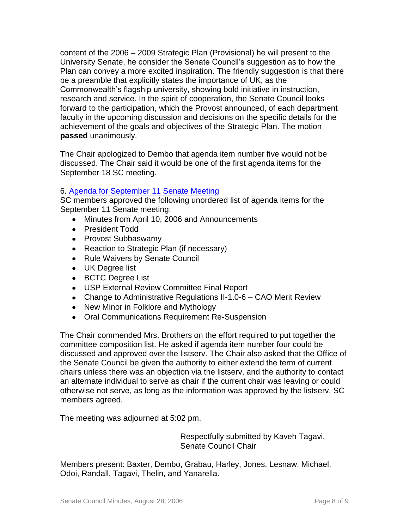content of the 2006 – 2009 Strategic Plan (Provisional) he will present to the University Senate, he consider the Senate Council's suggestion as to how the Plan can convey a more excited inspiration. The friendly suggestion is that there be a preamble that explicitly states the importance of UK, as the Commonwealth's flagship university, showing bold initiative in instruction, research and service. In the spirit of cooperation, the Senate Council looks forward to the participation, which the Provost announced, of each department faculty in the upcoming discussion and decisions on the specific details for the achievement of the goals and objectives of the Strategic Plan. The motion **passed** unanimously.

The Chair apologized to Dembo that agenda item number five would not be discussed. The Chair said it would be one of the first agenda items for the September 18 SC meeting.

## 6. [Agenda for September 11 Senate Meeting](http://www.uky.edu/USC/New/files/20060828/Tentative%20Senate%20Agenda%20for%209-11-06.pdf)

SC members approved the following unordered list of agenda items for the September 11 Senate meeting:

- Minutes from April 10, 2006 and Announcements
- President Todd
- Provost Subbaswamy
- Reaction to Strategic Plan (if necessary)
- Rule Waivers by Senate Council
- UK Degree list
- BCTC Degree List
- USP External Review Committee Final Report
- Change to Administrative Regulations II-1.0-6 CAO Merit Review
- New Minor in Folklore and Mythology
- Oral Communications Requirement Re-Suspension

The Chair commended Mrs. Brothers on the effort required to put together the committee composition list. He asked if agenda item number four could be discussed and approved over the listserv. The Chair also asked that the Office of the Senate Council be given the authority to either extend the term of current chairs unless there was an objection via the listserv, and the authority to contact an alternate individual to serve as chair if the current chair was leaving or could otherwise not serve, as long as the information was approved by the listserv. SC members agreed.

The meeting was adjourned at 5:02 pm.

Respectfully submitted by Kaveh Tagavi, Senate Council Chair

Members present: Baxter, Dembo, Grabau, Harley, Jones, Lesnaw, Michael, Odoi, Randall, Tagavi, Thelin, and Yanarella.